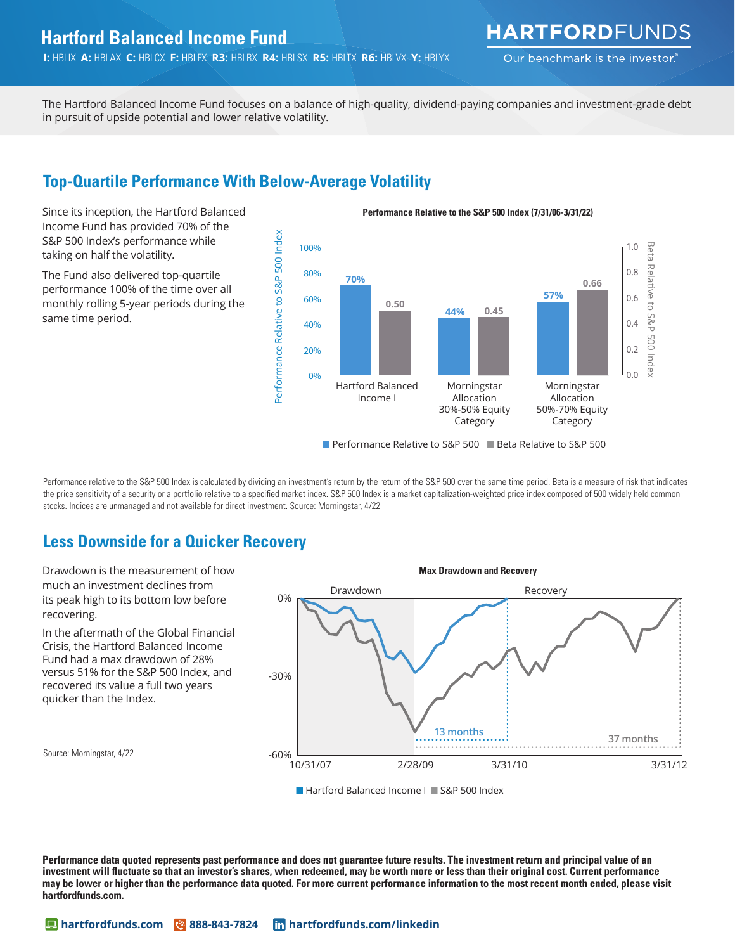## **Hartford Balanced Income Fund**

**I:** HBLIX **A:** HBLAX **C:** HBLCX **F:** HBLFX **R3:** HBLRX **R4:** HBLSX **R5:** HBLTX **R6:** HBLVX **Y:** HBLYX

**HARTFORD**FUNDS

Our benchmark is the investor.

Incruational Balancea income I and locases on a salarie.<br>In pursuit of upside potential and lower relative volatility. Investment-grade debt The Hartford Balanced Income Fund focuses on a balance of high-quality, dividend-paying companies and investment-grade debt

# 25% **Top-Quartile Performance With Below-Average Volatility**

Since its inception, the Hartford Balanced Income Fund has provided 70% of the S&P 500 Index's performance while taking on half the volatility.

The Fund also delivered top-quartile performance 100% of the time over all monthly rolling 5-year periods during the same time period.



■ Performance Relative to S&P 500 ■ Beta Relative to S&P 500

Performance relative to the S&P 500 Index is calculated by dividing an investment's return by the return of the S&P 500 over the same time period. Beta is a measure of risk that indicates the price sensitivity of a security or a portfolio relative to a specified market index. S&P 500 Index is a market capitalization-weighted price index composed of 500 widely held common stocks. Indices are unmanaged and not available for direct investment. Source: Morningstar, 4/22

## **Less Downside for a Quicker Recovery**



■ Hartford Balanced Income I ■ S&P 500 Index

**Performance data quoted represents past performance and does not guarantee future results. The investment return and principal value of an**  investment will fluctuate so that an investor's shares, when redeemed, may be worth more or less than their original cost. Current performance **may be lower or higher than the performance data quoted. For more current performance information to the most recent month ended, please visit hartfordfunds.com.**